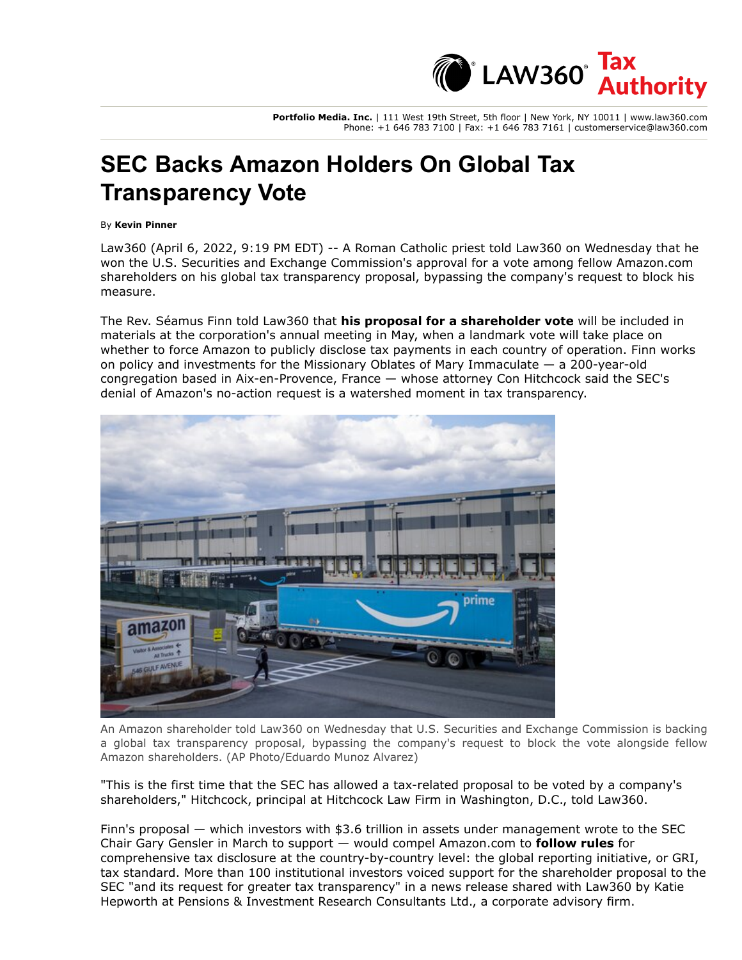

**Portfolio Media. Inc.** | 111 West 19th Street, 5th floor | New York, NY 10011 | www.law360.com Phone: +1 646 783 7100 | Fax: +1 646 783 7161 | customerservice@law360.com

## **SEC Backs Amazon Holders On Global Tax Transparency Vote**

## By **Kevin Pinner**

Law360 (April 6, 2022, 9:19 PM EDT) -- A Roman Catholic priest told Law360 on Wednesday that he won the [U.S. Securities and Exchange Commission](https://www.law360.com/agencies/u-s-securities-and-exchange-commission)'s approval for a vote among fellow [Amazon.com](https://www.law360.com/companies/amazon-com-inc) shareholders on his global tax transparency proposal, bypassing the company's request to block his measure.

The Rev. Séamus Finn told Law360 that **[his proposal for a shareholder vote](https://www.law360.com/tax-authority/international/articles/1471277/amazon-holders-urge-sec-to-allow-vote-on-tax-transparency)** will be included in materials at the corporation's annual meeting in May, when a landmark vote will take place on whether to force Amazon to publicly disclose tax payments in each country of operation. Finn works on policy and investments for the Missionary Oblates of Mary Immaculate — a 200-year-old congregation based in Aix-en-Provence, France — whose attorney Con Hitchcock said the SEC's denial of Amazon's no-action request is a watershed moment in tax transparency.



An Amazon shareholder told Law360 on Wednesday that U.S. Securities and Exchange Commission is backing a global tax transparency proposal, bypassing the company's request to block the vote alongside fellow Amazon shareholders. (AP Photo/Eduardo Munoz Alvarez)

"This is the first time that the SEC has allowed a tax-related proposal to be voted by a company's shareholders," Hitchcock, principal at [Hitchcock Law Firm](https://www.law360.com/firms/hitchcock-law-firm) in Washington, D.C., told Law360.

Finn's proposal — which investors with \$3.6 trillion in assets under management wrote to the SEC Chair Gary Gensler in March to support — would compel Amazon.com to **[follow rules](https://www.law360.com/tax-authority/articles/1440950)** for comprehensive tax disclosure at the country-by-country level: the global reporting initiative, or GRI, tax standard. More than 100 institutional investors voiced support for the shareholder proposal to the SEC "and its request for greater tax transparency" in a news release shared with Law360 by Katie Hepworth at Pensions & Investment Research Consultants Ltd., a corporate advisory firm.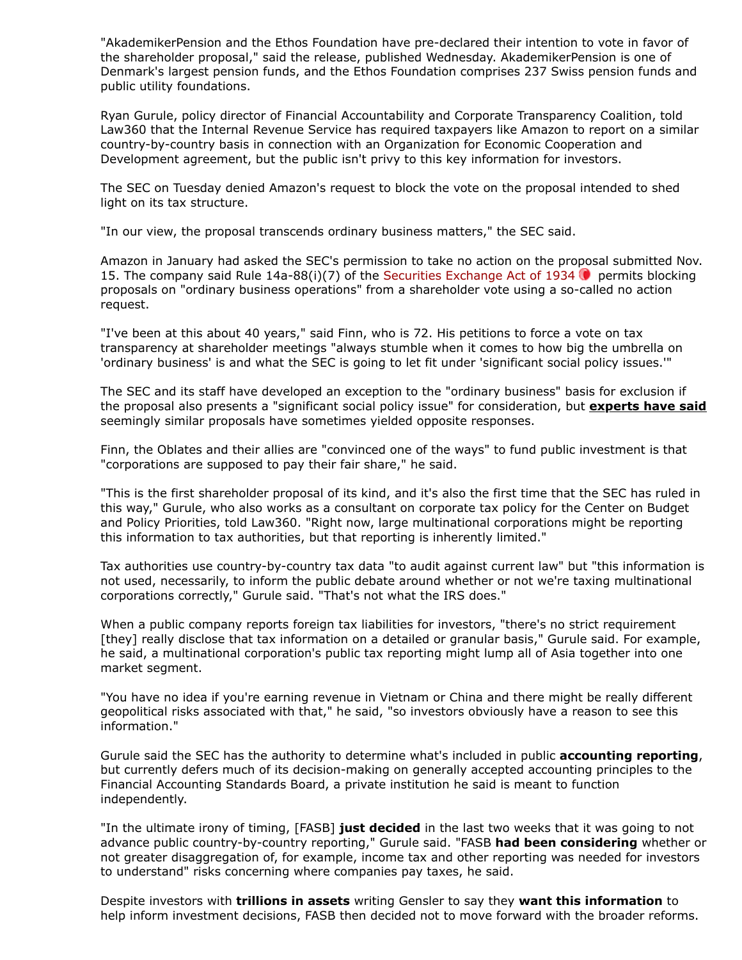"AkademikerPension and the Ethos Foundation have pre-declared their intention to vote in favor of the shareholder proposal," said the release, published Wednesday. AkademikerPension is one of Denmark's largest pension funds, and the Ethos Foundation comprises 237 Swiss pension funds and public utility foundations.

Ryan Gurule, policy director of Financial Accountability and Corporate Transparency Coalition, told Law360 that the [Internal Revenue Service](https://www.law360.com/agencies/internal-revenue-service) has required taxpayers like Amazon to report on a similar [country-by-country basis in connection with an Organization for Economic Cooperation and](https://www.law360.com/companies/organization-for-economic-cooperation-and-development) Development agreement, but the public isn't privy to this key information for investors.

The SEC on Tuesday denied Amazon's request to block the vote on the proposal intended to shed light on its tax structure.

"In our view, the proposal transcends ordinary business matters," the SEC said.

Amazon in January had asked the SEC's permission to take no action on the proposal submitted Nov. 15. The company said Rule  $14a-88(i)(7)$  of the [Securities Exchange Act of 1934](https://advance.lexis.com/api/search?q=15%20U.S.C.%20%C2%A7%2078a%20&qlang=bool&origination=law360&internalOrigination=article_id%3D1481352%3Bcitation%3D15%20U.S.C.%20%C2%A7%2078a%20&originationDetail=headline%3DSEC%20Backs%20Amazon%20Holders%20On%20Global%20Tax%20Transparency%20Vote&)  $\bullet$  permits blocking proposals on "ordinary business operations" from a shareholder vote using a so-called no action request.

"I've been at this about 40 years," said Finn, who is 72. His petitions to force a vote on tax transparency at shareholder meetings "always stumble when it comes to how big the umbrella on 'ordinary business' is and what the SEC is going to let fit under 'significant social policy issues.'"

The SEC and its staff have developed an exception to the "ordinary business" basis for exclusion if the proposal also presents a "significant social policy issue" for consideration, but **[experts have said](https://www.law360.com/articles/720790)** seemingly similar proposals have sometimes yielded opposite responses.

Finn, the Oblates and their allies are "convinced one of the ways" to fund public investment is that "corporations are supposed to pay their fair share," he said.

"This is the first shareholder proposal of its kind, and it's also the first time that the SEC has ruled in [this way," Gurule, who also works as a consultant on corporate tax policy for the Center on Budget](https://www.law360.com/companies/center-on-budget-and-policy-priorities) and Policy Priorities, told Law360. "Right now, large multinational corporations might be reporting this information to tax authorities, but that reporting is inherently limited."

Tax authorities use country-by-country tax data "to audit against current law" but "this information is not used, necessarily, to inform the public debate around whether or not we're taxing multinational corporations correctly," Gurule said. "That's not what the IRS does."

When a public company reports foreign tax liabilities for investors, "there's no strict requirement [they] really disclose that tax information on a detailed or granular basis," Gurule said. For example, he said, a multinational corporation's public tax reporting might lump all of Asia together into one market segment.

"You have no idea if you're earning revenue in Vietnam or China and there might be really different geopolitical risks associated with that," he said, "so investors obviously have a reason to see this information."

Gurule said the SEC has the authority to determine what's included in public **[accounting reporting](https://www.law360.com/tax-authority/articles/1480710)**, but currently defers much of its decision-making on generally accepted accounting principles to the [Financial Accounting Standards Board](https://www.law360.com/companies/financial-accounting-standards-board), a private institution he said is meant to function independently.

"In the ultimate irony of timing, [FASB] **[just decided](https://www.law360.com/tax-authority/articles/1477185)** in the last two weeks that it was going to not advance public country-by-country reporting," Gurule said. "FASB **[had been considering](https://www.law360.com/tax-authority/articles/1142879/fasb-calls-for-more-tax-information-in-company-financials)** whether or not greater disaggregation of, for example, income tax and other reporting was needed for investors to understand" risks concerning where companies pay taxes, he said.

Despite investors with **[trillions in assets](https://www.law360.com/tax-authority/articles/1440950)** writing Gensler to say they **[want this information](https://www.law360.com/tax-authority/articles/1456375)** to help inform investment decisions, FASB then decided not to move forward with the broader reforms.